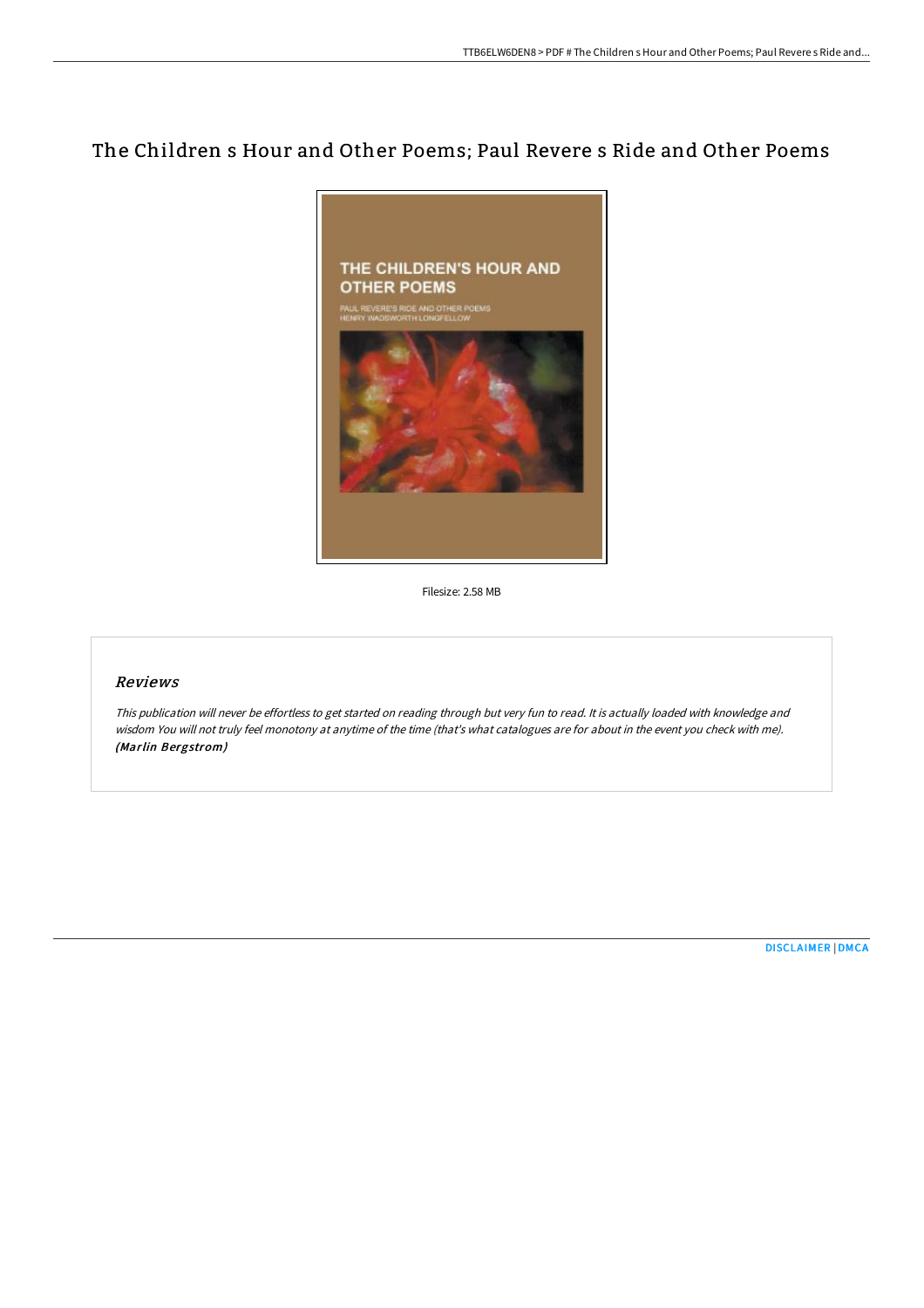# The Children s Hour and Other Poems; Paul Revere s Ride and Other Poems



Filesize: 2.58 MB

### Reviews

This publication will never be effortless to get started on reading through but very fun to read. It is actually loaded with knowledge and wisdom You will not truly feel monotony at anytime of the time (that's what catalogues are for about in the event you check with me). (Marlin Bergstrom)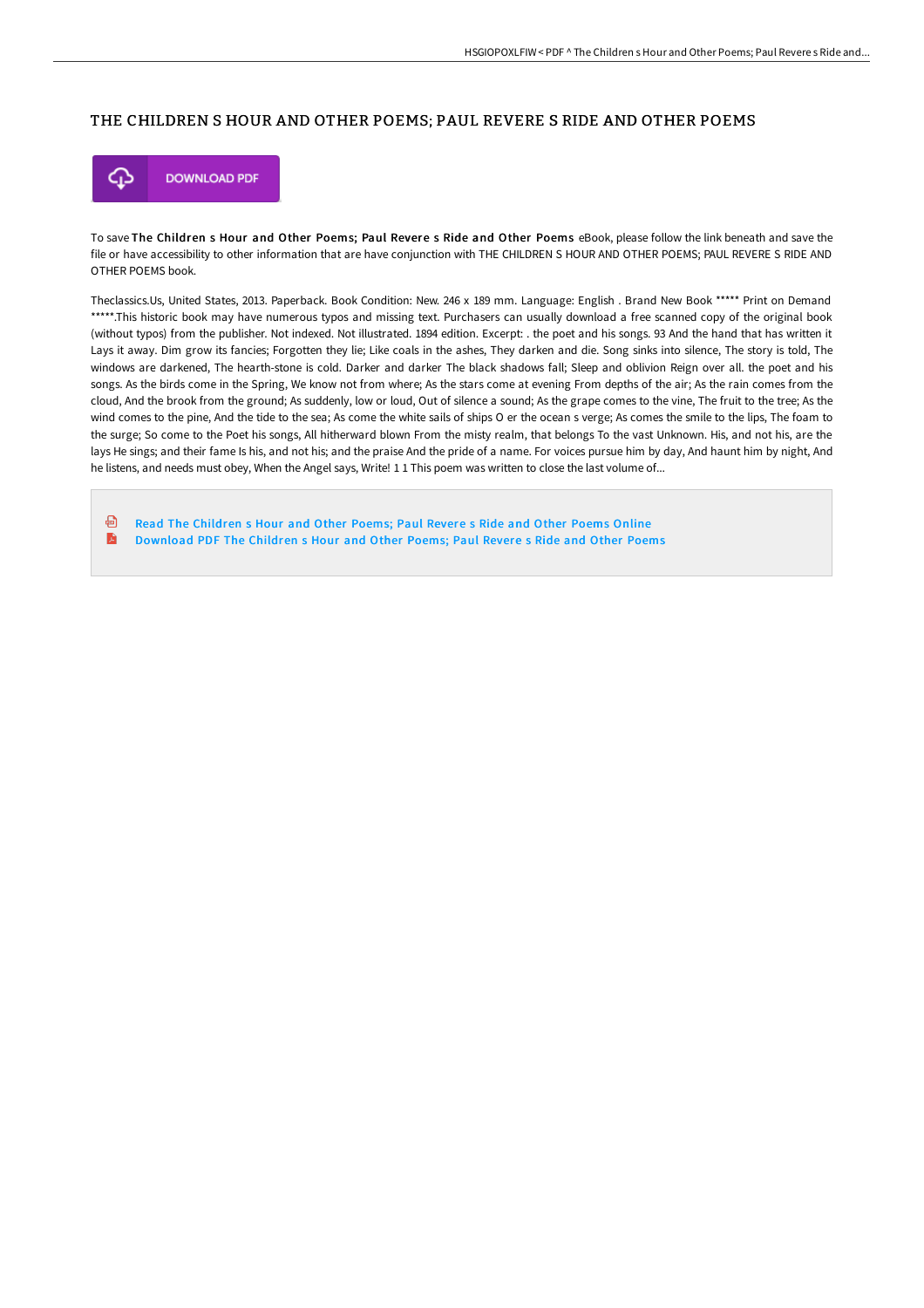### THE CHILDREN S HOUR AND OTHER POEMS; PAUL REVERE S RIDE AND OTHER POEMS



To save The Children s Hour and Other Poems; Paul Revere s Ride and Other Poems eBook, please follow the link beneath and save the file or have accessibility to other information that are have conjunction with THE CHILDREN S HOUR AND OTHER POEMS; PAUL REVERE S RIDE AND OTHER POEMS book.

Theclassics.Us, United States, 2013. Paperback. Book Condition: New. 246 x 189 mm. Language: English . Brand New Book \*\*\*\*\* Print on Demand \*\*\*\*\*.This historic book may have numerous typos and missing text. Purchasers can usually download a free scanned copy of the original book (without typos) from the publisher. Not indexed. Not illustrated. 1894 edition. Excerpt: . the poet and his songs. 93 And the hand that has written it Lays it away. Dim grow its fancies; Forgotten they lie; Like coals in the ashes, They darken and die. Song sinks into silence, The story is told, The windows are darkened, The hearth-stone is cold. Darker and darker The black shadows fall; Sleep and oblivion Reign over all. the poet and his songs. As the birds come in the Spring, We know not from where; As the stars come at evening From depths of the air; As the rain comes from the cloud, And the brook from the ground; As suddenly, low or loud, Out of silence a sound; As the grape comes to the vine, The fruit to the tree; As the wind comes to the pine, And the tide to the sea; As come the white sails of ships O er the ocean s verge; As comes the smile to the lips, The foam to the surge; So come to the Poet his songs, All hitherward blown From the misty realm, that belongs To the vast Unknown. His, and not his, are the lays He sings; and their fame Is his, and not his; and the praise And the pride of a name. For voices pursue him by day, And haunt him by night, And he listens, and needs must obey, When the Angel says, Write! 1 1 This poem was written to close the last volume of...

ଈ Read The [Children](http://techno-pub.tech/the-children-s-hour-and-other-poems-paul-revere-.html) s Hour and Other Poems; Paul Revere s Ride and Other Poems Online D [Download](http://techno-pub.tech/the-children-s-hour-and-other-poems-paul-revere-.html) PDF The Children s Hour and Other Poems; Paul Revere s Ride and Other Poems